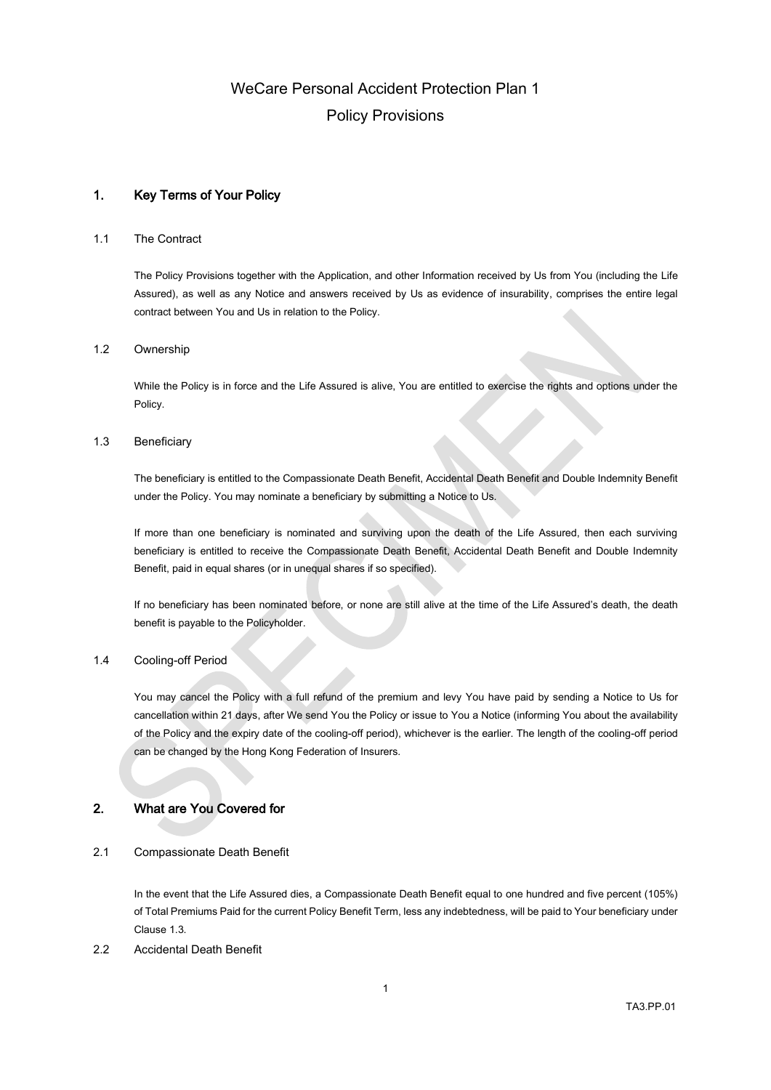## 1. Key Terms of Your Policy

## 1.1 The Contract

The Policy Provisions together with the Application, and other Information received by Us from You (including the Life Assured), as well as any Notice and answers received by Us as evidence of insurability, comprises the entire legal contract between You and Us in relation to the Policy.

### 1.2 Ownership

While the Policy is in force and the Life Assured is alive, You are entitled to exercise the rights and options under the Policy.

### <span id="page-0-0"></span>1.3 Beneficiary

The beneficiary is entitled to the Compassionate Death Benefit, Accidental Death Benefit and Double Indemnity Benefit under the Policy. You may nominate a beneficiary by submitting a Notice to Us.

If more than one beneficiary is nominated and surviving upon the death of the Life Assured, then each surviving beneficiary is entitled to receive the Compassionate Death Benefit, Accidental Death Benefit and Double Indemnity Benefit, paid in equal shares (or in unequal shares if so specified).

If no beneficiary has been nominated before, or none are still alive at the time of the Life Assured's death, the death benefit is payable to the Policyholder.

### 1.4 Cooling-off Period

You may cancel the Policy with a full refund of the premium and levy You have paid by sending a Notice to Us for cancellation within 21 days, after We send You the Policy or issue to You a Notice (informing You about the availability of the Policy and the expiry date of the cooling-off period), whichever is the earlier. The length of the cooling-off period can be changed by the Hong Kong Federation of Insurers.

## 2. What are You Covered for

### 2.1 Compassionate Death Benefit

In the event that the Life Assured dies, a Compassionate Death Benefit equal to one hundred and five percent (105%) of Total Premiums Paid for the current Policy Benefit Term, less any indebtedness, will be paid to Your beneficiary under Claus[e 1.3.](#page-0-0)

## 2.2 Accidental Death Benefit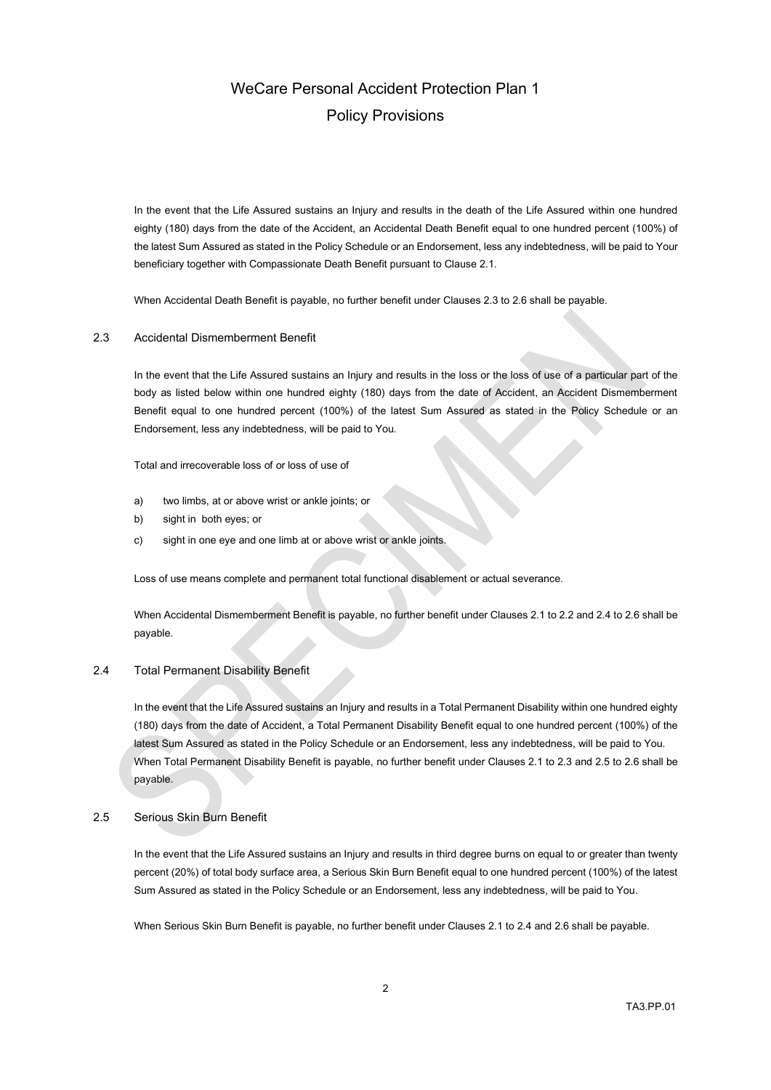In the event that the Life Assured sustains an Injury and results in the death of the Life Assured within one hundred eighty (180) days from the date of the Accident, an Accidental Death Benefit equal to one hundred percent (100%) of the latest Sum Assured as stated in the Policy Schedule or an Endorsement, less any indebtedness, will be paid to Your beneficiary together with Compassionate Death Benefit pursuant to Clause 2.1.

When Accidental Death Benefit is payable, no further benefit under Clauses 2.3 to 2.6 shall be payable.

### 2.3 Accidental Dismemberment Benefit

In the event that the Life Assured sustains an Injury and results in the loss or the loss of use of a particular part of the body as listed below within one hundred eighty (180) days from the date of Accident, an Accident Dismemberment Benefit equal to one hundred percent (100%) of the latest Sum Assured as stated in the Policy Schedule or an Endorsement, less any indebtedness, will be paid to You.

Total and irrecoverable loss of or loss of use of

- a) two limbs, at or above wrist or ankle joints; or
- b) sight in both eyes; or
- c) sight in one eye and one limb at or above wrist or ankle joints.

Loss of use means complete and permanent total functional disablement or actual severance.

When Accidental Dismemberment Benefit is payable, no further benefit under Clauses 2.1 to 2.2 and 2.4 to 2.6 shall be payable.

### 2.4 Total Permanent Disability Benefit

In the event that the Life Assured sustains an Injury and results in a Total Permanent Disability within one hundred eighty (180) days from the date of Accident, a Total Permanent Disability Benefit equal to one hundred percent (100%) of the latest Sum Assured as stated in the Policy Schedule or an Endorsement, less any indebtedness, will be paid to You. When Total Permanent Disability Benefit is payable, no further benefit under Clauses 2.1 to 2.3 and 2.5 to 2.6 shall be payable.

### 2.5 Serious Skin Burn Benefit

In the event that the Life Assured sustains an Injury and results in third degree burns on equal to or greater than twenty percent (20%) of total body surface area, a Serious Skin Burn Benefit equal to one hundred percent (100%) of the latest Sum Assured as stated in the Policy Schedule or an Endorsement, less any indebtedness, will be paid to You.

When Serious Skin Burn Benefit is payable, no further benefit under Clauses 2.1 to 2.4 and 2.6 shall be payable.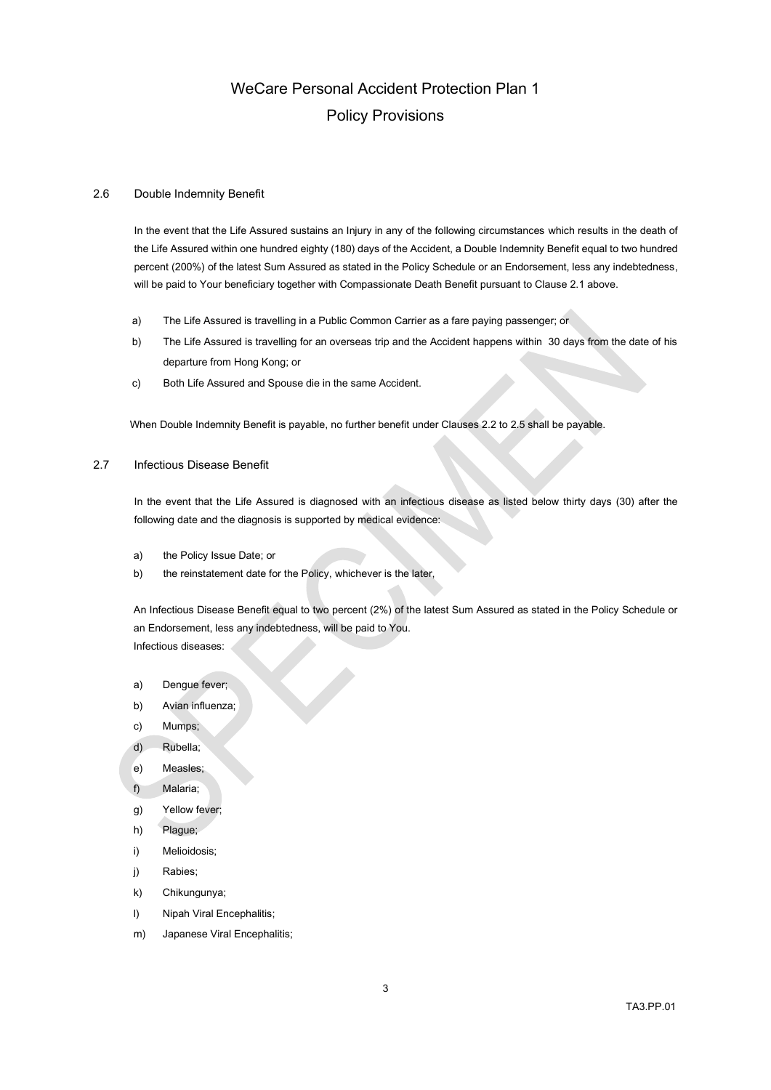### 2.6 Double Indemnity Benefit

In the event that the Life Assured sustains an Injury in any of the following circumstances which results in the death of the Life Assured within one hundred eighty (180) days of the Accident, a Double Indemnity Benefit equal to two hundred percent (200%) of the latest Sum Assured as stated in the Policy Schedule or an Endorsement, less any indebtedness, will be paid to Your beneficiary together with Compassionate Death Benefit pursuant to Clause 2.1 above.

- a) The Life Assured is travelling in a Public Common Carrier as a fare paying passenger; or
- b) The Life Assured is travelling for an overseas trip and the Accident happens within 30 days from the date of his departure from Hong Kong; or
- c) Both Life Assured and Spouse die in the same Accident.

When Double Indemnity Benefit is payable, no further benefit under Clauses 2.2 to 2.5 shall be payable.

### 2.7 Infectious Disease Benefit

In the event that the Life Assured is diagnosed with an infectious disease as listed below thirty days (30) after the following date and the diagnosis is supported by medical evidence:

- a) the Policy Issue Date; or
- b) the reinstatement date for the Policy, whichever is the later,

An Infectious Disease Benefit equal to two percent (2%) of the latest Sum Assured as stated in the Policy Schedule or an Endorsement, less any indebtedness, will be paid to You. Infectious diseases:

- a) Dengue fever;
- b) Avian influenza;
- c) Mumps;
- d) Rubella;
- e) Measles;
- f) Malaria;
- g) Yellow fever;
- h) Plague;
- i) Melioidosis;
- j) Rabies;
- k) Chikungunya;
- l) Nipah Viral Encephalitis;
- m) Japanese Viral Encephalitis;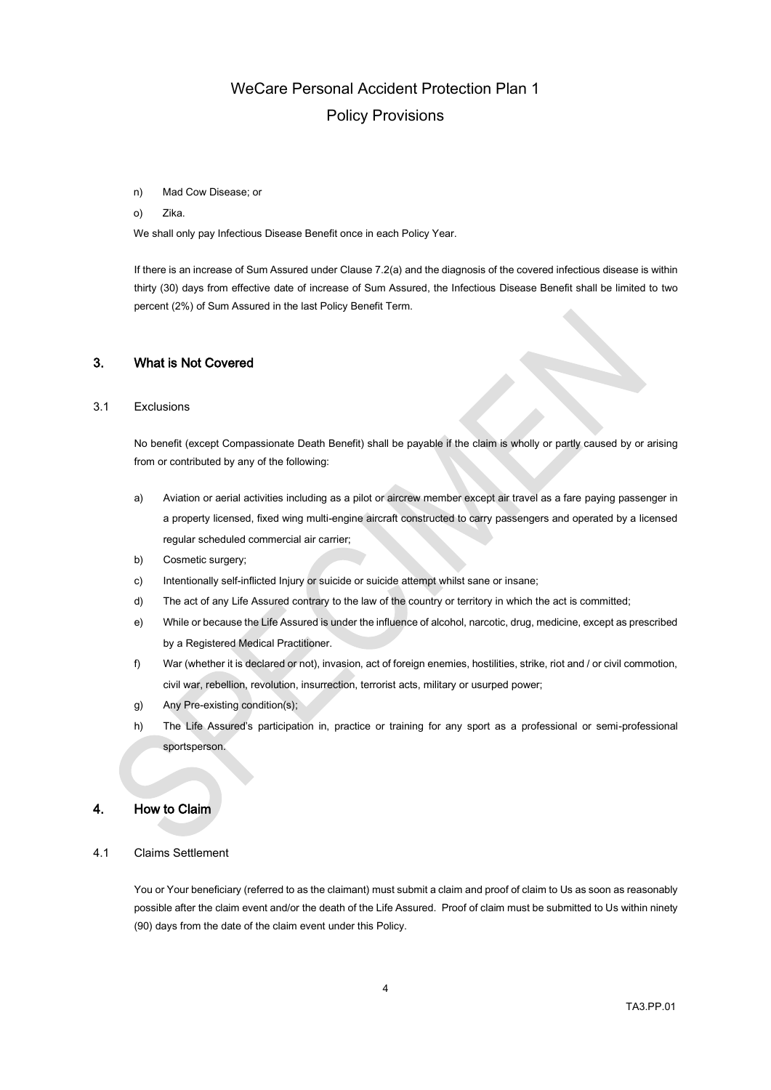#### n) Mad Cow Disease; or

#### o) Zika.

We shall only pay Infectious Disease Benefit once in each Policy Year.

If there is an increase of Sum Assured under Clause 7.2(a) and the diagnosis of the covered infectious disease is within thirty (30) days from effective date of increase of Sum Assured, the Infectious Disease Benefit shall be limited to two percent (2%) of Sum Assured in the last Policy Benefit Term.

## 3. What is Not Covered

## 3.1 Exclusions

No benefit (except Compassionate Death Benefit) shall be payable if the claim is wholly or partly caused by or arising from or contributed by any of the following:

- a) Aviation or aerial activities including as a pilot or aircrew member except air travel as a fare paying passenger in a property licensed, fixed wing multi-engine aircraft constructed to carry passengers and operated by a licensed regular scheduled commercial air carrier;
- b) Cosmetic surgery;
- c) Intentionally self-inflicted Injury or suicide or suicide attempt whilst sane or insane;
- d) The act of any Life Assured contrary to the law of the country or territory in which the act is committed;
- e) While or because the Life Assured is under the influence of alcohol, narcotic, drug, medicine, except as prescribed by a Registered Medical Practitioner.
- f) War (whether it is declared or not), invasion, act of foreign enemies, hostilities, strike, riot and / or civil commotion, civil war, rebellion, revolution, insurrection, terrorist acts, military or usurped power;
- g) Any Pre-existing condition(s);
- h) The Life Assured's participation in, practice or training for any sport as a professional or semi-professional sportsperson.

## 4. How to Claim

### 4.1 Claims Settlement

You or Your beneficiary (referred to as the claimant) must submit a claim and proof of claim to Us as soon as reasonably possible after the claim event and/or the death of the Life Assured. Proof of claim must be submitted to Us within ninety (90) days from the date of the claim event under this Policy.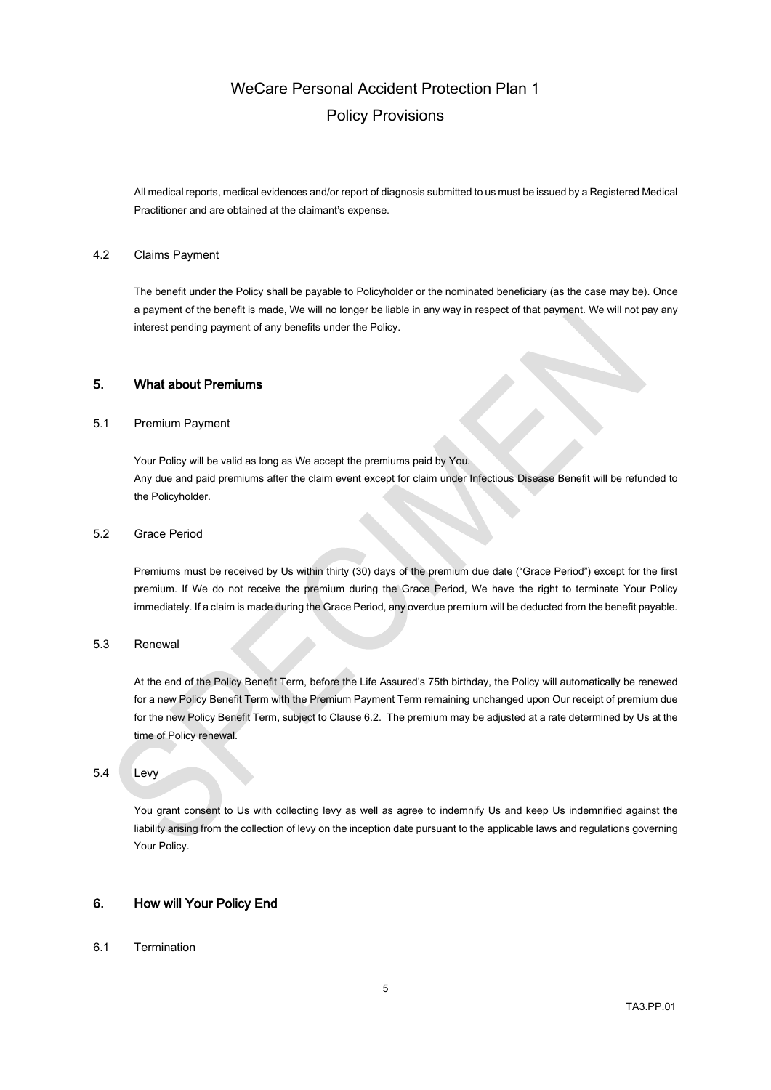All medical reports, medical evidences and/or report of diagnosis submitted to us must be issued by a Registered Medical Practitioner and are obtained at the claimant's expense.

#### 4.2 Claims Payment

The benefit under the Policy shall be payable to Policyholder or the nominated beneficiary (as the case may be). Once a payment of the benefit is made, We will no longer be liable in any way in respect of that payment. We will not pay any interest pending payment of any benefits under the Policy.

## 5. What about Premiums

### 5.1 Premium Payment

Your Policy will be valid as long as We accept the premiums paid by You. Any due and paid premiums after the claim event except for claim under Infectious Disease Benefit will be refunded to the Policyholder.

## <span id="page-4-0"></span>5.2 Grace Period

Premiums must be received by Us within thirty (30) days of the premium due date ("Grace Period") except for the first premium. If We do not receive the premium during the Grace Period, We have the right to terminate Your Policy immediately. If a claim is made during the Grace Period, any overdue premium will be deducted from the benefit payable.

## 5.3 Renewal

At the end of the Policy Benefit Term, before the Life Assured's 75th birthday, the Policy will automatically be renewed for a new Policy Benefit Term with the Premium Payment Term remaining unchanged upon Our receipt of premium due for the new Policy Benefit Term, subject to Clause 6.2. The premium may be adjusted at a rate determined by Us at the time of Policy renewal.

## 5.4 Levy

You grant consent to Us with collecting levy as well as agree to indemnify Us and keep Us indemnified against the liability arising from the collection of levy on the inception date pursuant to the applicable laws and regulations governing Your Policy.

## 6. How will Your Policy End

### 6.1 Termination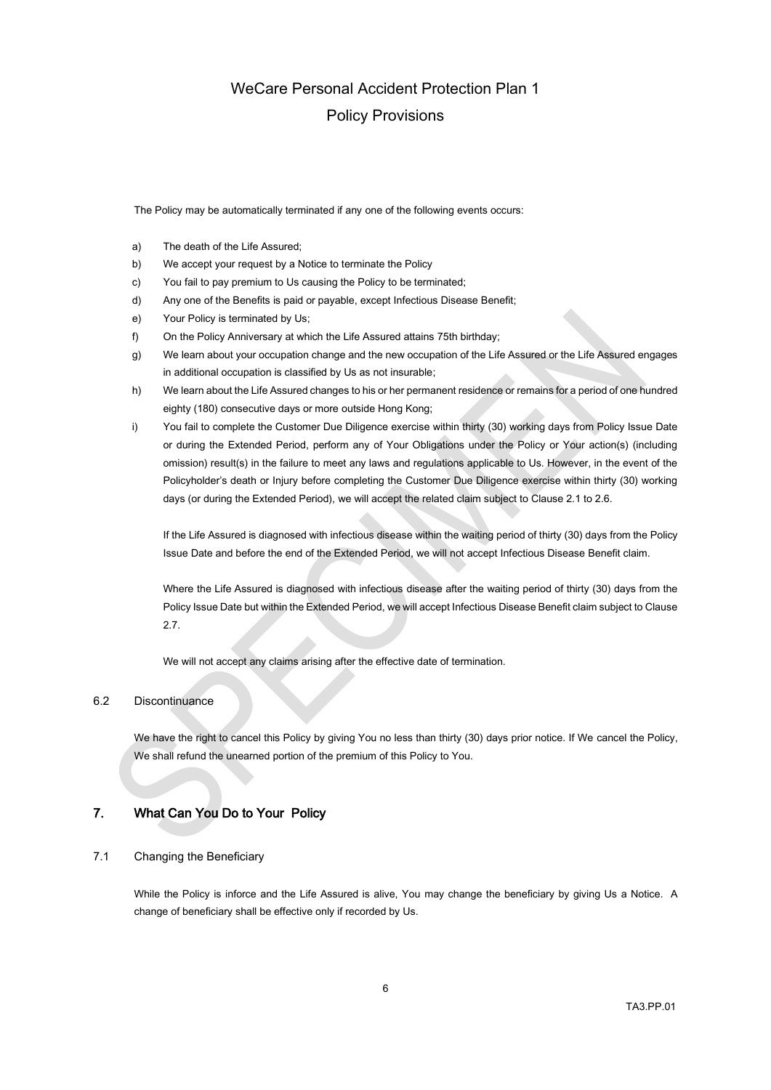The Policy may be automatically terminated if any one of the following events occurs:

- a) The death of the Life Assured;
- b) We accept your request by a Notice to terminate the Policy
- c) You fail to pay premium to Us causing the Policy to be terminated;
- d) Any one of the Benefits is paid or payable, except Infectious Disease Benefit;
- e) Your Policy is terminated by Us;
- f) On the Policy Anniversary at which the Life Assured attains 75th birthday;
- g) We learn about your occupation change and the new occupation of the Life Assured or the Life Assured engages in additional occupation is classified by Us as not insurable;
- h) We learn about the Life Assured changes to his or her permanent residence or remains for a period of one hundred eighty (180) consecutive days or more outside Hong Kong;
- i) You fail to complete the Customer Due Diligence exercise within thirty (30) working days from Policy Issue Date or during the Extended Period, perform any of Your Obligations under the Policy or Your action(s) (including omission) result(s) in the failure to meet any laws and regulations applicable to Us. However, in the event of the Policyholder's death or Injury before completing the Customer Due Diligence exercise within thirty (30) working days (or during the Extended Period), we will accept the related claim subject to Clause 2.1 to 2.6.

If the Life Assured is diagnosed with infectious disease within the waiting period of thirty (30) days from the Policy Issue Date and before the end of the Extended Period, we will not accept Infectious Disease Benefit claim.

Where the Life Assured is diagnosed with infectious disease after the waiting period of thirty (30) days from the Policy Issue Date but within the Extended Period, we will accept Infectious Disease Benefit claim subject to Clause 2.7.

We will not accept any claims arising after the effective date of termination.

### 6.2 Discontinuance

We have the right to cancel this Policy by giving You no less than thirty (30) days prior notice. If We cancel the Policy, We shall refund the unearned portion of the premium of this Policy to You.

## 7. What Can You Do to Your Policy

## 7.1 Changing the Beneficiary

While the Policy is inforce and the Life Assured is alive, You may change the beneficiary by giving Us a Notice. A change of beneficiary shall be effective only if recorded by Us.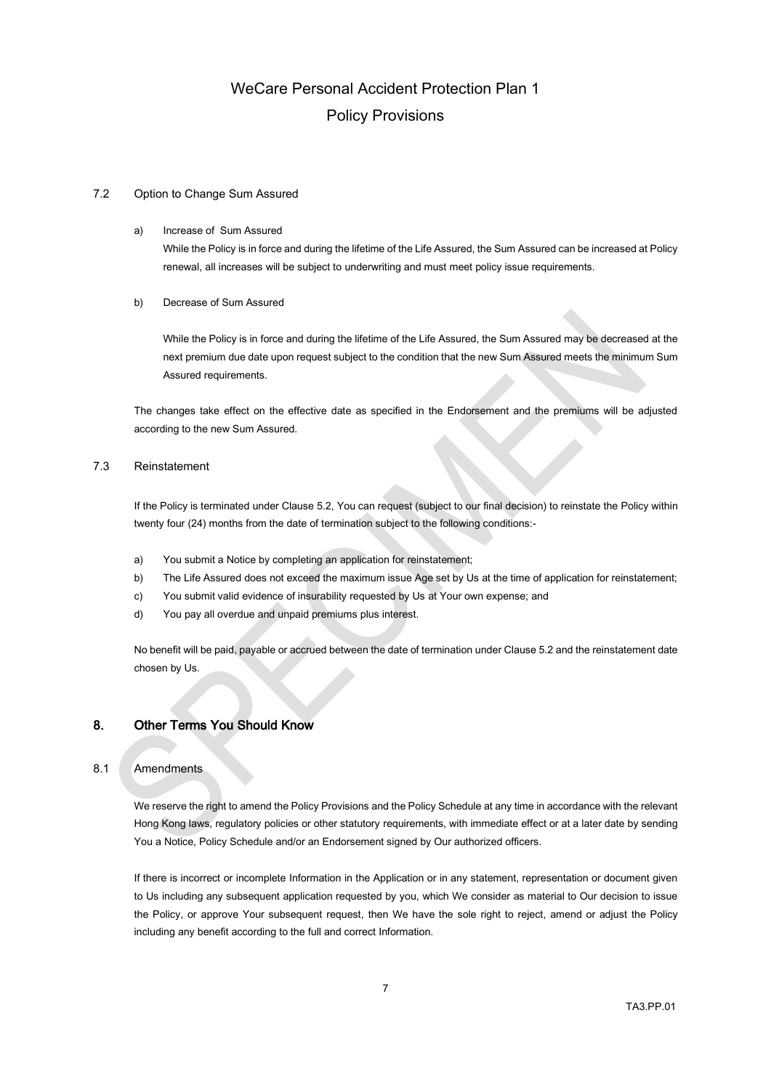## 7.2 Option to Change Sum Assured

### a) Increase of Sum Assured

While the Policy is in force and during the lifetime of the Life Assured, the Sum Assured can be increased at Policy renewal, all increases will be subject to underwriting and must meet policy issue requirements.

### b) Decrease of Sum Assured

While the Policy is in force and during the lifetime of the Life Assured, the Sum Assured may be decreased at the next premium due date upon request subject to the condition that the new Sum Assured meets the minimum Sum Assured requirements.

The changes take effect on the effective date as specified in the Endorsement and the premiums will be adjusted according to the new Sum Assured.

## 7.3 Reinstatement

If the Policy is terminated under Claus[e 5.2,](#page-4-0) You can request (subject to our final decision) to reinstate the Policy within twenty four (24) months from the date of termination subject to the following conditions:-

- a) You submit a Notice by completing an application for reinstatement;
- b) The Life Assured does not exceed the maximum issue Age set by Us at the time of application for reinstatement;
- c) You submit valid evidence of insurability requested by Us at Your own expense; and
- d) You pay all overdue and unpaid premiums plus interest.

No benefit will be paid, payable or accrued between the date of termination under Clause 5.2 and the reinstatement date chosen by Us.

## 8. Other Terms You Should Know

## 8.1 Amendments

We reserve the right to amend the Policy Provisions and the Policy Schedule at any time in accordance with the relevant Hong Kong laws, regulatory policies or other statutory requirements, with immediate effect or at a later date by sending You a Notice, Policy Schedule and/or an Endorsement signed by Our authorized officers.

If there is incorrect or incomplete Information in the Application or in any statement, representation or document given to Us including any subsequent application requested by you, which We consider as material to Our decision to issue the Policy, or approve Your subsequent request, then We have the sole right to reject, amend or adjust the Policy including any benefit according to the full and correct Information.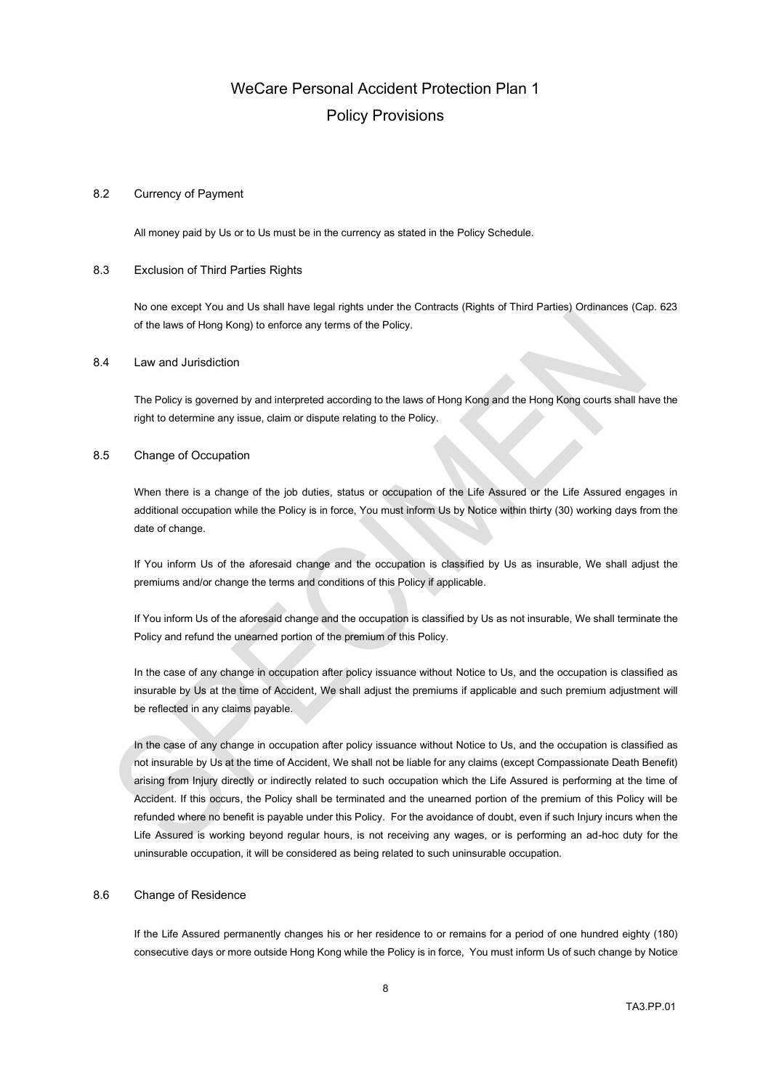### 8.2 Currency of Payment

All money paid by Us or to Us must be in the currency as stated in the Policy Schedule.

### 8.3 Exclusion of Third Parties Rights

No one except You and Us shall have legal rights under the Contracts (Rights of Third Parties) Ordinances (Cap. 623 of the laws of Hong Kong) to enforce any terms of the Policy.

#### 8.4 Law and Jurisdiction

The Policy is governed by and interpreted according to the laws of Hong Kong and the Hong Kong courts shall have the right to determine any issue, claim or dispute relating to the Policy.

#### 8.5 Change of Occupation

When there is a change of the job duties, status or occupation of the Life Assured or the Life Assured engages in additional occupation while the Policy is in force, You must inform Us by Notice within thirty (30) working days from the date of change.

If You inform Us of the aforesaid change and the occupation is classified by Us as insurable, We shall adjust the premiums and/or change the terms and conditions of this Policy if applicable.

If You inform Us of the aforesaid change and the occupation is classified by Us as not insurable, We shall terminate the Policy and refund the unearned portion of the premium of this Policy.

In the case of any change in occupation after policy issuance without Notice to Us, and the occupation is classified as insurable by Us at the time of Accident, We shall adjust the premiums if applicable and such premium adjustment will be reflected in any claims payable.

In the case of any change in occupation after policy issuance without Notice to Us, and the occupation is classified as not insurable by Us at the time of Accident, We shall not be liable for any claims (except Compassionate Death Benefit) arising from Injury directly or indirectly related to such occupation which the Life Assured is performing at the time of Accident. If this occurs, the Policy shall be terminated and the unearned portion of the premium of this Policy will be refunded where no benefit is payable under this Policy. For the avoidance of doubt, even if such Injury incurs when the Life Assured is working beyond regular hours, is not receiving any wages, or is performing an ad-hoc duty for the uninsurable occupation, it will be considered as being related to such uninsurable occupation.

### 8.6 Change of Residence

If the Life Assured permanently changes his or her residence to or remains for a period of one hundred eighty (180) consecutive days or more outside Hong Kong while the Policy is in force, You must inform Us of such change by Notice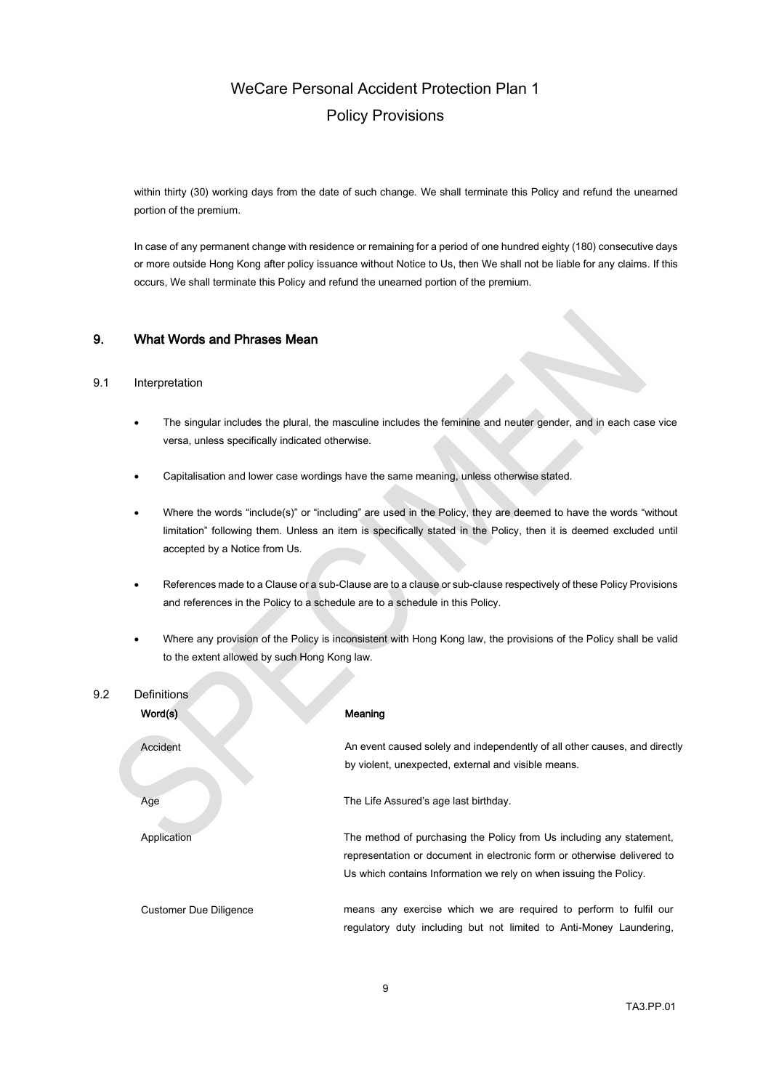within thirty (30) working days from the date of such change. We shall terminate this Policy and refund the unearned portion of the premium.

In case of any permanent change with residence or remaining for a period of one hundred eighty (180) consecutive days or more outside Hong Kong after policy issuance without Notice to Us, then We shall not be liable for any claims. If this occurs, We shall terminate this Policy and refund the unearned portion of the premium.

## 9. What Words and Phrases Mean

**Contract Contract** 

## 9.1 Interpretation

- The singular includes the plural, the masculine includes the feminine and neuter gender, and in each case vice versa, unless specifically indicated otherwise.
- Capitalisation and lower case wordings have the same meaning, unless otherwise stated.
- Where the words "include(s)" or "including" are used in the Policy, they are deemed to have the words "without limitation" following them. Unless an item is specifically stated in the Policy, then it is deemed excluded until accepted by a Notice from Us.
- References made to a Clause or a sub-Clause are to a clause or sub-clause respectively of these Policy Provisions and references in the Policy to a schedule are to a schedule in this Policy.
- Where any provision of the Policy is inconsistent with Hong Kong law, the provisions of the Policy shall be valid to the extent allowed by such Hong Kong law.

| 9.2 | <b>Definitions</b><br>Word(s) | Meaning                                                                                                                                                                                                              |
|-----|-------------------------------|----------------------------------------------------------------------------------------------------------------------------------------------------------------------------------------------------------------------|
|     | Accident                      | An event caused solely and independently of all other causes, and directly<br>by violent, unexpected, external and visible means.                                                                                    |
|     | Age                           | The Life Assured's age last birthday.                                                                                                                                                                                |
|     | Application                   | The method of purchasing the Policy from Us including any statement,<br>representation or document in electronic form or otherwise delivered to<br>Us which contains Information we rely on when issuing the Policy. |
|     | Customer Due Diligence        | means any exercise which we are required to perform to fulfil our<br>regulatory duty including but not limited to Anti-Money Laundering,                                                                             |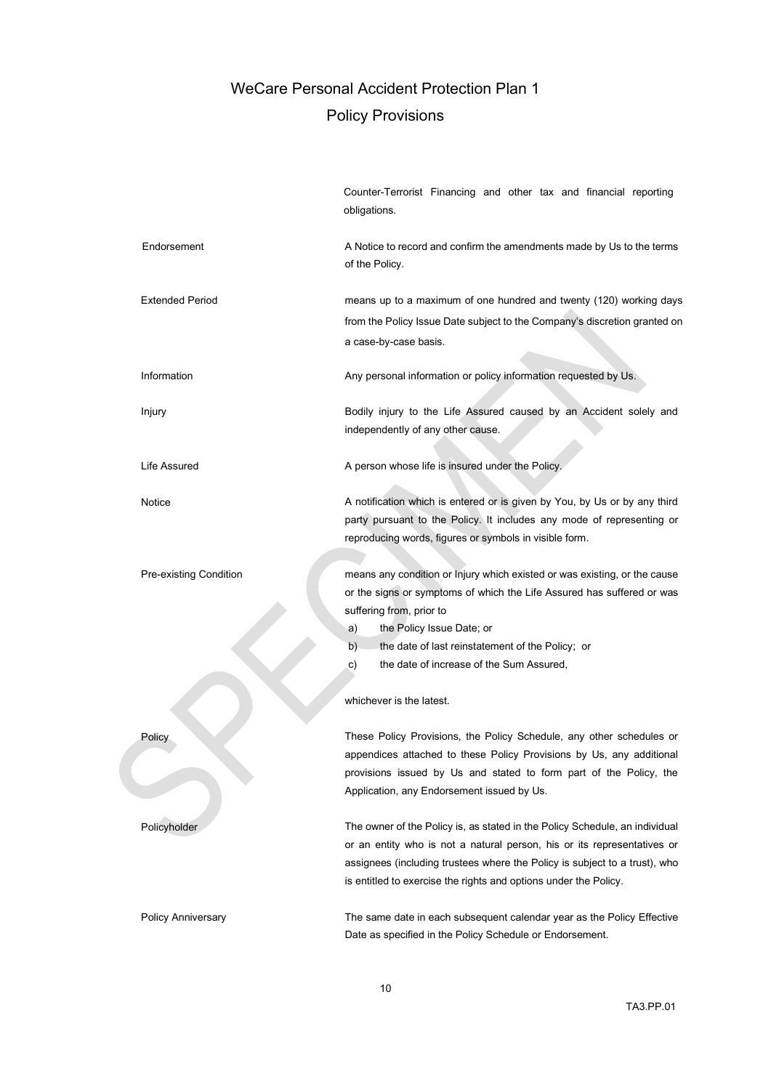|                           | Counter-Terrorist Financing and other tax and financial reporting<br>obligations.                                                                                                                                                                                                                                              |
|---------------------------|--------------------------------------------------------------------------------------------------------------------------------------------------------------------------------------------------------------------------------------------------------------------------------------------------------------------------------|
| Endorsement               | A Notice to record and confirm the amendments made by Us to the terms<br>of the Policy.                                                                                                                                                                                                                                        |
| <b>Extended Period</b>    | means up to a maximum of one hundred and twenty (120) working days<br>from the Policy Issue Date subject to the Company's discretion granted on<br>a case-by-case basis.                                                                                                                                                       |
| Information               | Any personal information or policy information requested by Us.                                                                                                                                                                                                                                                                |
| Injury                    | Bodily injury to the Life Assured caused by an Accident solely and<br>independently of any other cause.                                                                                                                                                                                                                        |
| Life Assured              | A person whose life is insured under the Policy.                                                                                                                                                                                                                                                                               |
| Notice                    | A notification which is entered or is given by You, by Us or by any third<br>party pursuant to the Policy. It includes any mode of representing or<br>reproducing words, figures or symbols in visible form.                                                                                                                   |
| Pre-existing Condition    | means any condition or Injury which existed or was existing, or the cause<br>or the signs or symptoms of which the Life Assured has suffered or was<br>suffering from, prior to<br>the Policy Issue Date; or<br>a)<br>b)<br>the date of last reinstatement of the Policy; or<br>the date of increase of the Sum Assured,<br>c) |
|                           | whichever is the latest.                                                                                                                                                                                                                                                                                                       |
| Policy                    | These Policy Provisions, the Policy Schedule, any other schedules or<br>appendices attached to these Policy Provisions by Us, any additional<br>provisions issued by Us and stated to form part of the Policy, the<br>Application, any Endorsement issued by Us.                                                               |
| Policyholder              | The owner of the Policy is, as stated in the Policy Schedule, an individual<br>or an entity who is not a natural person, his or its representatives or<br>assignees (including trustees where the Policy is subject to a trust), who<br>is entitled to exercise the rights and options under the Policy.                       |
| <b>Policy Anniversary</b> | The same date in each subsequent calendar year as the Policy Effective<br>Date as specified in the Policy Schedule or Endorsement.                                                                                                                                                                                             |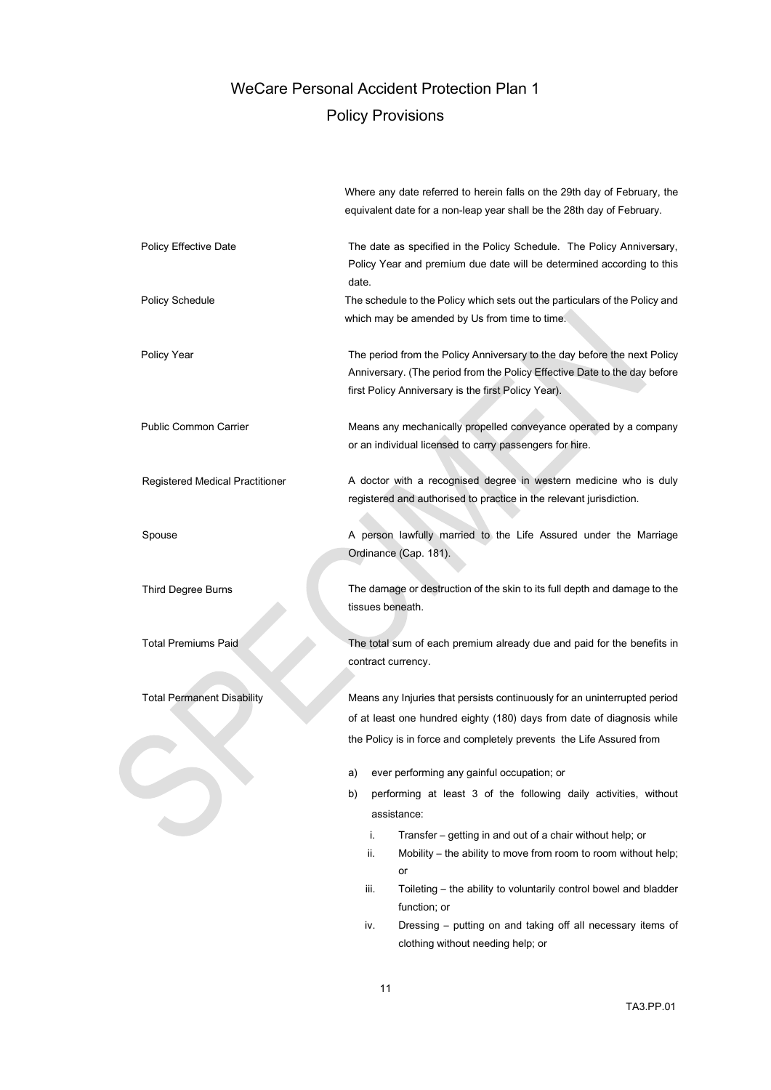Where any date referred to herein falls on the 29th day of February, the

equivalent date for a non-leap year shall be the 28th day of February. Policy Effective Date The The date as specified in the Policy Schedule. The Policy Anniversary, Policy Year and premium due date will be determined according to this date. Policy Schedule The schedule to the Policy which sets out the particulars of the Policy and which may be amended by Us from time to time. Policy Year The period from the Policy Anniversary to the day before the next Policy Anniversary to the day before the next Policy Anniversary. (The period from the Policy Effective Date to the day before first Policy Anniversary is the first Policy Year). Public Common Carrier **Means any mechanically propelled conveyance operated by a company** or an individual licensed to carry passengers for hire. Registered Medical Practitioner A doctor with a recognised degree in western medicine who is duly registered and authorised to practice in the relevant jurisdiction. Spouse **A** person lawfully married to the Life Assured under the Marriage Ordinance (Cap. 181). Third Degree Burns The damage or destruction of the skin to its full depth and damage to the tissues beneath. Total Premiums Paid The total sum of each premium already due and paid for the benefits in contract currency. Total Permanent Disability Means any Injuries that persists continuously for an uninterrupted period of at least one hundred eighty (180) days from date of diagnosis while the Policy is in force and completely prevents the Life Assured from a) ever performing any gainful occupation; or b) performing at least 3 of the following daily activities, without assistance: i. Transfer – getting in and out of a chair without help; or ii. Mobility – the ability to move from room to room without help; or iii. Toileting – the ability to voluntarily control bowel and bladder function; or

iv. Dressing – putting on and taking off all necessary items of clothing without needing help; or